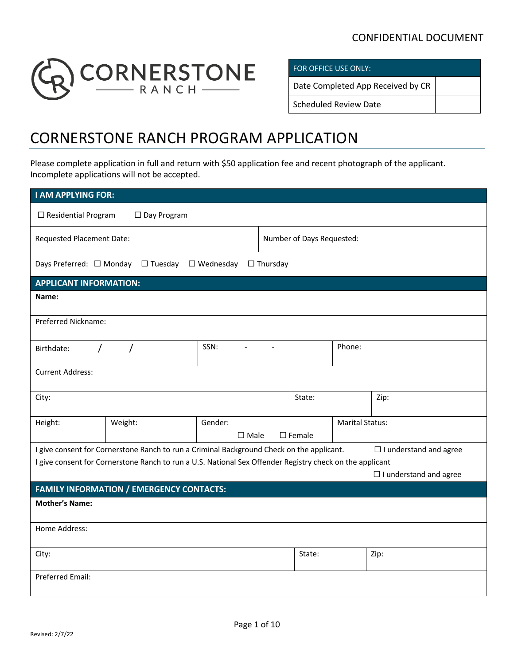

FOR OFFICE USE ONLY:

Date Completed App Received by CR

Scheduled Review Date

## CORNERSTONE RANCH PROGRAM APPLICATION

Please complete application in full and return with \$50 application fee and recent photograph of the applicant. Incomplete applications will not be accepted.

| <b>I AM APPLYING FOR:</b>                       |                                                                                                          |                                  |                          |                           |                        |                               |
|-------------------------------------------------|----------------------------------------------------------------------------------------------------------|----------------------------------|--------------------------|---------------------------|------------------------|-------------------------------|
| $\Box$ Residential Program                      | $\square$ Day Program                                                                                    |                                  |                          |                           |                        |                               |
| Requested Placement Date:                       |                                                                                                          |                                  |                          | Number of Days Requested: |                        |                               |
|                                                 | Days Preferred: □ Monday □ Tuesday                                                                       | $\square$ Wednesday              | $\Box$ Thursday          |                           |                        |                               |
| <b>APPLICANT INFORMATION:</b>                   |                                                                                                          |                                  |                          |                           |                        |                               |
| Name:                                           |                                                                                                          |                                  |                          |                           |                        |                               |
| Preferred Nickname:                             |                                                                                                          |                                  |                          |                           |                        |                               |
| Birthdate:                                      |                                                                                                          | SSN:<br>$\overline{\phantom{a}}$ | $\overline{\phantom{a}}$ |                           | Phone:                 |                               |
| <b>Current Address:</b>                         |                                                                                                          |                                  |                          |                           |                        |                               |
| City:                                           |                                                                                                          |                                  |                          | State:                    |                        | Zip:                          |
| Height:                                         | Weight:                                                                                                  | Gender:                          |                          |                           | <b>Marital Status:</b> |                               |
|                                                 |                                                                                                          | $\square$ Male                   |                          | $\square$ Female          |                        |                               |
|                                                 | I give consent for Cornerstone Ranch to run a Criminal Background Check on the applicant.                |                                  |                          |                           |                        | $\Box$ I understand and agree |
|                                                 | I give consent for Cornerstone Ranch to run a U.S. National Sex Offender Registry check on the applicant |                                  |                          |                           |                        |                               |
|                                                 |                                                                                                          |                                  |                          |                           |                        | $\Box$ I understand and agree |
| <b>FAMILY INFORMATION / EMERGENCY CONTACTS:</b> |                                                                                                          |                                  |                          |                           |                        |                               |
| <b>Mother's Name:</b>                           |                                                                                                          |                                  |                          |                           |                        |                               |
| Home Address:                                   |                                                                                                          |                                  |                          |                           |                        |                               |
| City:                                           |                                                                                                          |                                  |                          | State:                    |                        | Zip:                          |
| <b>Preferred Email:</b>                         |                                                                                                          |                                  |                          |                           |                        |                               |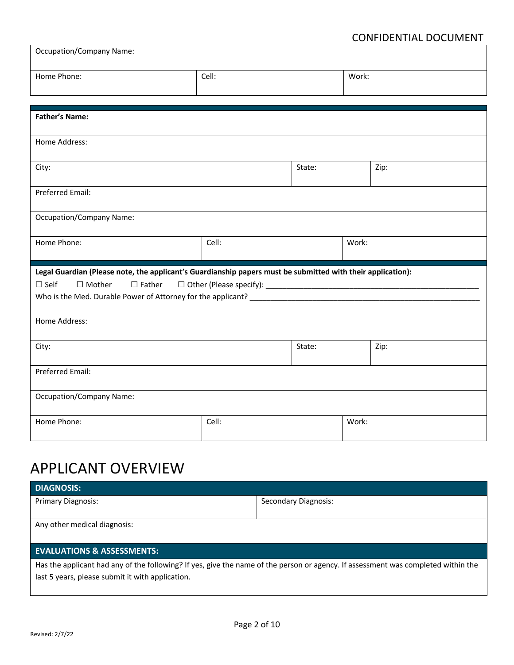| <b>Occupation/Company Name:</b>                                                                             |       |        |       |      |  |
|-------------------------------------------------------------------------------------------------------------|-------|--------|-------|------|--|
| Home Phone:                                                                                                 | Cell: |        | Work: |      |  |
|                                                                                                             |       |        |       |      |  |
| <b>Father's Name:</b>                                                                                       |       |        |       |      |  |
| Home Address:                                                                                               |       |        |       |      |  |
| City:                                                                                                       |       | State: |       | Zip: |  |
| <b>Preferred Email:</b>                                                                                     |       |        |       |      |  |
| <b>Occupation/Company Name:</b>                                                                             |       |        |       |      |  |
| Home Phone:                                                                                                 | Cell: |        | Work: |      |  |
|                                                                                                             |       |        |       |      |  |
| Legal Guardian (Please note, the applicant's Guardianship papers must be submitted with their application): |       |        |       |      |  |
| $\square$ Self<br>$\Box$ Mother<br>$\Box$ Father                                                            |       |        |       |      |  |
|                                                                                                             |       |        |       |      |  |
|                                                                                                             |       |        |       |      |  |
| Home Address:                                                                                               |       |        |       |      |  |
| City:                                                                                                       |       | State: |       | Zip: |  |
| <b>Preferred Email:</b>                                                                                     |       |        |       |      |  |
| <b>Occupation/Company Name:</b>                                                                             |       |        |       |      |  |

## APPLICANT OVERVIEW

| <b>DIAGNOSIS:</b>                                                                                                                 |                      |  |  |  |
|-----------------------------------------------------------------------------------------------------------------------------------|----------------------|--|--|--|
| <b>Primary Diagnosis:</b>                                                                                                         | Secondary Diagnosis: |  |  |  |
|                                                                                                                                   |                      |  |  |  |
| Any other medical diagnosis:                                                                                                      |                      |  |  |  |
|                                                                                                                                   |                      |  |  |  |
| <b>EVALUATIONS &amp; ASSESSMENTS:</b>                                                                                             |                      |  |  |  |
| Has the applicant had any of the following? If yes, give the name of the person or agency. If assessment was completed within the |                      |  |  |  |
| last 5 years, please submit it with application.                                                                                  |                      |  |  |  |
|                                                                                                                                   |                      |  |  |  |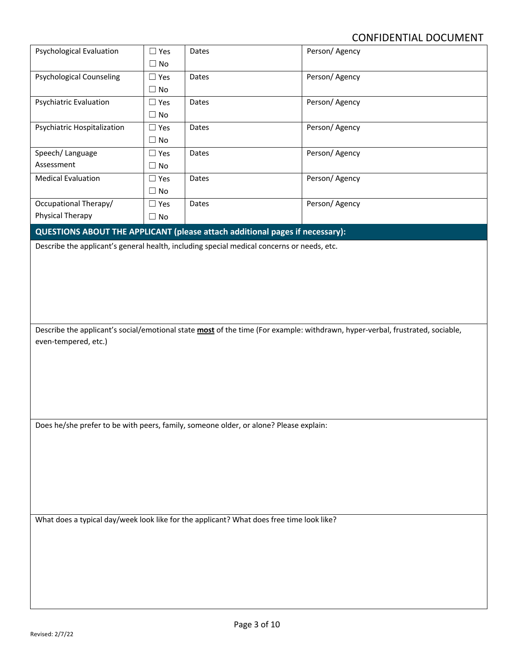| <b>Psychological Evaluation</b> | $\square$ Yes | Dates                                                                                      | Person/Agency                                                                                                                 |  |  |  |
|---------------------------------|---------------|--------------------------------------------------------------------------------------------|-------------------------------------------------------------------------------------------------------------------------------|--|--|--|
|                                 | $\Box$ No     |                                                                                            |                                                                                                                               |  |  |  |
| <b>Psychological Counseling</b> | $\Box$ Yes    | Dates                                                                                      | Person/Agency                                                                                                                 |  |  |  |
|                                 | $\Box$ No     |                                                                                            |                                                                                                                               |  |  |  |
| <b>Psychiatric Evaluation</b>   | $\Box$ Yes    | Dates                                                                                      | Person/Agency                                                                                                                 |  |  |  |
|                                 | $\Box$ No     |                                                                                            |                                                                                                                               |  |  |  |
| Psychiatric Hospitalization     | $\Box$ Yes    | Dates                                                                                      | Person/Agency                                                                                                                 |  |  |  |
|                                 | $\Box$ No     |                                                                                            |                                                                                                                               |  |  |  |
| Speech/ Language                | $\square$ Yes | Dates                                                                                      | Person/Agency                                                                                                                 |  |  |  |
| Assessment                      | $\Box$ No     |                                                                                            |                                                                                                                               |  |  |  |
| <b>Medical Evaluation</b>       | $\square$ Yes | Dates                                                                                      | Person/Agency                                                                                                                 |  |  |  |
|                                 | $\Box$ No     |                                                                                            |                                                                                                                               |  |  |  |
| Occupational Therapy/           | $\Box$ Yes    | Dates                                                                                      | Person/Agency                                                                                                                 |  |  |  |
| <b>Physical Therapy</b>         | $\Box$ No     |                                                                                            |                                                                                                                               |  |  |  |
|                                 |               | QUESTIONS ABOUT THE APPLICANT (please attach additional pages if necessary):               |                                                                                                                               |  |  |  |
|                                 |               | Describe the applicant's general health, including special medical concerns or needs, etc. |                                                                                                                               |  |  |  |
|                                 |               |                                                                                            |                                                                                                                               |  |  |  |
|                                 |               |                                                                                            |                                                                                                                               |  |  |  |
|                                 |               |                                                                                            |                                                                                                                               |  |  |  |
|                                 |               |                                                                                            |                                                                                                                               |  |  |  |
|                                 |               |                                                                                            |                                                                                                                               |  |  |  |
|                                 |               |                                                                                            |                                                                                                                               |  |  |  |
|                                 |               |                                                                                            | Describe the applicant's social/emotional state most of the time (For example: withdrawn, hyper-verbal, frustrated, sociable, |  |  |  |
| even-tempered, etc.)            |               |                                                                                            |                                                                                                                               |  |  |  |
|                                 |               |                                                                                            |                                                                                                                               |  |  |  |
|                                 |               |                                                                                            |                                                                                                                               |  |  |  |
|                                 |               |                                                                                            |                                                                                                                               |  |  |  |
|                                 |               |                                                                                            |                                                                                                                               |  |  |  |
|                                 |               |                                                                                            |                                                                                                                               |  |  |  |
|                                 |               |                                                                                            |                                                                                                                               |  |  |  |
|                                 |               | Does he/she prefer to be with peers, family, someone older, or alone? Please explain:      |                                                                                                                               |  |  |  |
|                                 |               |                                                                                            |                                                                                                                               |  |  |  |
|                                 |               |                                                                                            |                                                                                                                               |  |  |  |
|                                 |               |                                                                                            |                                                                                                                               |  |  |  |
|                                 |               |                                                                                            |                                                                                                                               |  |  |  |
|                                 |               |                                                                                            |                                                                                                                               |  |  |  |
|                                 |               |                                                                                            |                                                                                                                               |  |  |  |
|                                 |               | What does a typical day/week look like for the applicant? What does free time look like?   |                                                                                                                               |  |  |  |
|                                 |               |                                                                                            |                                                                                                                               |  |  |  |
|                                 |               |                                                                                            |                                                                                                                               |  |  |  |
|                                 |               |                                                                                            |                                                                                                                               |  |  |  |
|                                 |               |                                                                                            |                                                                                                                               |  |  |  |
|                                 |               |                                                                                            |                                                                                                                               |  |  |  |
|                                 |               |                                                                                            |                                                                                                                               |  |  |  |
|                                 |               |                                                                                            |                                                                                                                               |  |  |  |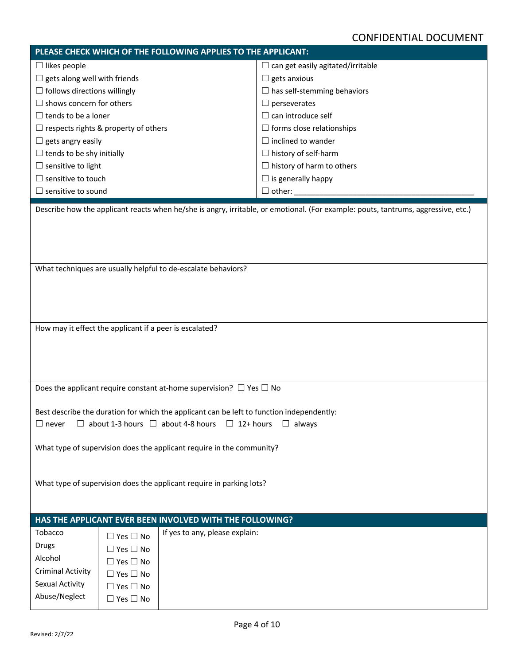|                                                                                                                                                                                        |                                                                                                                      | PLEASE CHECK WHICH OF THE FOLLOWING APPLIES TO THE APPLICANT:                                                                     |  |  |
|----------------------------------------------------------------------------------------------------------------------------------------------------------------------------------------|----------------------------------------------------------------------------------------------------------------------|-----------------------------------------------------------------------------------------------------------------------------------|--|--|
| $\Box$ likes people                                                                                                                                                                    |                                                                                                                      | $\Box$ can get easily agitated/irritable                                                                                          |  |  |
| $\Box$ gets along well with friends                                                                                                                                                    |                                                                                                                      | $\Box$ gets anxious                                                                                                               |  |  |
| $\Box$ follows directions willingly                                                                                                                                                    |                                                                                                                      | $\Box$ has self-stemming behaviors                                                                                                |  |  |
| $\Box$ shows concern for others                                                                                                                                                        |                                                                                                                      | $\Box$ perseverates                                                                                                               |  |  |
| $\Box$ tends to be a loner                                                                                                                                                             |                                                                                                                      | $\Box$ can introduce self                                                                                                         |  |  |
| $\Box$ respects rights & property of others                                                                                                                                            |                                                                                                                      | $\Box$ forms close relationships                                                                                                  |  |  |
| $\Box$ gets angry easily                                                                                                                                                               |                                                                                                                      | $\Box$ inclined to wander                                                                                                         |  |  |
| $\Box$ tends to be shy initially                                                                                                                                                       |                                                                                                                      | $\Box$ history of self-harm                                                                                                       |  |  |
| $\Box$ sensitive to light                                                                                                                                                              |                                                                                                                      | $\Box$ history of harm to others                                                                                                  |  |  |
| $\Box$ sensitive to touch                                                                                                                                                              |                                                                                                                      | $\Box$ is generally happy                                                                                                         |  |  |
| $\Box$ sensitive to sound                                                                                                                                                              |                                                                                                                      | $\square$ other: $\_\_$                                                                                                           |  |  |
|                                                                                                                                                                                        |                                                                                                                      | Describe how the applicant reacts when he/she is angry, irritable, or emotional. (For example: pouts, tantrums, aggressive, etc.) |  |  |
|                                                                                                                                                                                        |                                                                                                                      | What techniques are usually helpful to de-escalate behaviors?                                                                     |  |  |
| How may it effect the applicant if a peer is escalated?                                                                                                                                |                                                                                                                      |                                                                                                                                   |  |  |
|                                                                                                                                                                                        |                                                                                                                      | Does the applicant require constant at-home supervision? $\Box$ Yes $\Box$ No                                                     |  |  |
| Best describe the duration for which the applicant can be left to function independently:<br>$\Box$ never $\Box$ about 1-3 hours $\Box$ about 4-8 hours $\Box$ 12+ hours $\Box$ always |                                                                                                                      |                                                                                                                                   |  |  |
|                                                                                                                                                                                        |                                                                                                                      | What type of supervision does the applicant require in the community?                                                             |  |  |
| What type of supervision does the applicant require in parking lots?                                                                                                                   |                                                                                                                      |                                                                                                                                   |  |  |
| HAS THE APPLICANT EVER BEEN INVOLVED WITH THE FOLLOWING?                                                                                                                               |                                                                                                                      |                                                                                                                                   |  |  |
| Tobacco<br><b>Drugs</b><br>Alcohol<br><b>Criminal Activity</b><br>Sexual Activity                                                                                                      | $\Box$ Yes $\Box$ No<br>$\Box$ Yes $\Box$ No<br>$\Box$ Yes $\Box$ No<br>$\Box$ Yes $\Box$ No<br>$\Box$ Yes $\Box$ No | If yes to any, please explain:                                                                                                    |  |  |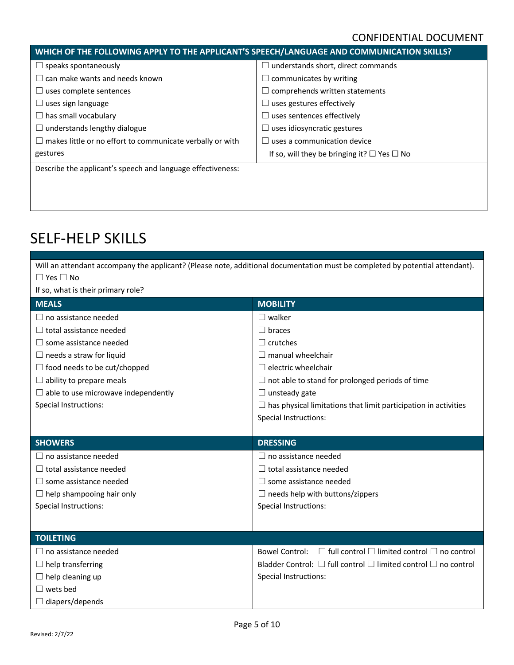| WHICH OF THE FOLLOWING APPLY TO THE APPLICANT'S SPEECH/LANGUAGE AND COMMUNICATION SKILLS? |                                                             |  |  |
|-------------------------------------------------------------------------------------------|-------------------------------------------------------------|--|--|
| $\Box$ speaks spontaneously                                                               | $\Box$ understands short, direct commands                   |  |  |
| $\Box$ can make wants and needs known                                                     | $\Box$ communicates by writing                              |  |  |
| $\Box$ uses complete sentences                                                            | $\Box$ comprehends written statements                       |  |  |
| $\Box$ uses sign language                                                                 | $\Box$ uses gestures effectively                            |  |  |
| $\Box$ has small vocabulary                                                               | $\Box$ uses sentences effectively                           |  |  |
| $\Box$ understands lengthy dialogue                                                       | $\Box$ uses idiosyncratic gestures                          |  |  |
| $\Box$ makes little or no effort to communicate verbally or with                          | $\Box$ uses a communication device                          |  |  |
| gestures                                                                                  | If so, will they be bringing it? $\square$ Yes $\square$ No |  |  |
| Describe the applicant's speech and language effectiveness:                               |                                                             |  |  |
|                                                                                           |                                                             |  |  |
|                                                                                           |                                                             |  |  |

# SELF-HELP SKILLS

Will an attendant accompany the applicant? (Please note, additional documentation must be completed by potential attendant). ☐ Yes ☐ No

#### If so, what is their primary role?

| <b>MEALS</b>                               | <b>MOBILITY</b>                                                                       |
|--------------------------------------------|---------------------------------------------------------------------------------------|
| no assistance needed                       | $\square$ walker                                                                      |
| $\Box$ total assistance needed             | $\Box$ braces                                                                         |
| $\Box$ some assistance needed              | $\Box$ crutches                                                                       |
| $\Box$ needs a straw for liquid            | $\Box$ manual wheelchair                                                              |
| $\Box$ food needs to be cut/chopped        | $\Box$ electric wheelchair                                                            |
| $\Box$ ability to prepare meals            | $\Box$ not able to stand for prolonged periods of time                                |
| $\Box$ able to use microwave independently | $\Box$ unsteady gate                                                                  |
| Special Instructions:                      | $\Box$ has physical limitations that limit participation in activities                |
|                                            | Special Instructions:                                                                 |
|                                            |                                                                                       |
| <b>SHOWERS</b>                             | <b>DRESSING</b>                                                                       |
| no assistance needed                       | $\Box$ no assistance needed                                                           |
| $\Box$ total assistance needed             | $\Box$ total assistance needed                                                        |
| some assistance needed                     | $\Box$ some assistance needed                                                         |
| $\Box$ help shampooing hair only           | $\Box$ needs help with buttons/zippers                                                |
| Special Instructions:                      | Special Instructions:                                                                 |
|                                            |                                                                                       |
| <b>TOILETING</b>                           |                                                                                       |
| $\Box$ no assistance needed                | $\Box$ full control $\Box$ limited control $\Box$ no control<br><b>Bowel Control:</b> |
| $\Box$ help transferring                   | Bladder Control: $\Box$ full control $\Box$ limited control $\Box$ no control         |
| $\Box$ help cleaning up                    | <b>Special Instructions:</b>                                                          |
| wets bed                                   |                                                                                       |
| diapers/depends                            |                                                                                       |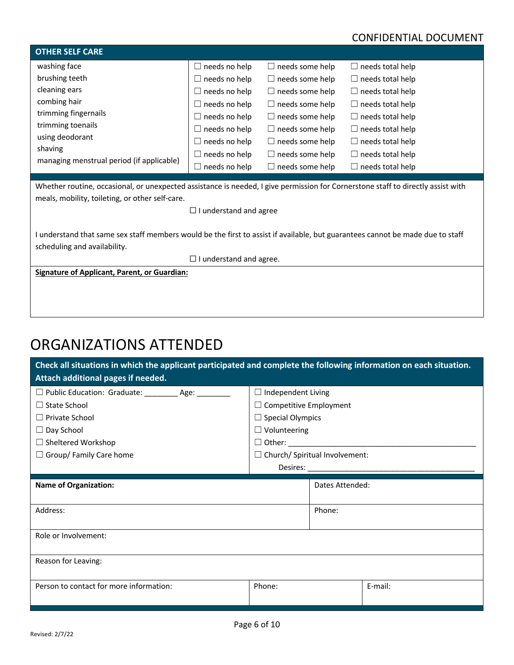| <b>OTHER SELF CARE</b>                                                                                                                                                                                               |                      |                        |                         |  |  |
|----------------------------------------------------------------------------------------------------------------------------------------------------------------------------------------------------------------------|----------------------|------------------------|-------------------------|--|--|
| washing face                                                                                                                                                                                                         | $\Box$ needs no help | $\Box$ needs some help | $\Box$ needs total help |  |  |
| brushing teeth                                                                                                                                                                                                       | $\Box$ needs no help | $\Box$ needs some help | $\Box$ needs total help |  |  |
| cleaning ears                                                                                                                                                                                                        | $\Box$ needs no help | $\Box$ needs some help | $\Box$ needs total help |  |  |
| combing hair                                                                                                                                                                                                         | $\Box$ needs no help | $\Box$ needs some help | $\Box$ needs total help |  |  |
| trimming fingernails                                                                                                                                                                                                 | $\Box$ needs no help | $\Box$ needs some help | $\Box$ needs total help |  |  |
| trimming toenails                                                                                                                                                                                                    | $\Box$ needs no help | $\Box$ needs some help | $\Box$ needs total help |  |  |
| using deodorant                                                                                                                                                                                                      | $\Box$ needs no help | $\Box$ needs some help | $\Box$ needs total help |  |  |
| shaving                                                                                                                                                                                                              | $\Box$ needs no help | $\Box$ needs some help | $\Box$ needs total help |  |  |
| managing menstrual period (if applicable)                                                                                                                                                                            | $\Box$ needs no help | $\Box$ needs some help | $\Box$ needs total help |  |  |
| Whether routine, occasional, or unexpected assistance is needed, I give permission for Cornerstone staff to directly assist with<br>meals, mobility, toileting, or other self-care.<br>$\Box$ I understand and agree |                      |                        |                         |  |  |
| I understand that same sex staff members would be the first to assist if available, but guarantees cannot be made due to staff<br>scheduling and availability.                                                       |                      |                        |                         |  |  |
| $\Box$ I understand and agree.                                                                                                                                                                                       |                      |                        |                         |  |  |
| <b>Signature of Applicant, Parent, or Guardian:</b>                                                                                                                                                                  |                      |                        |                         |  |  |
|                                                                                                                                                                                                                      |                      |                        |                         |  |  |
|                                                                                                                                                                                                                      |                      |                        |                         |  |  |
|                                                                                                                                                                                                                      |                      |                        |                         |  |  |

## ORGANIZATIONS ATTENDED

| Check all situations in which the applicant participated and complete the following information on each situation.<br>Attach additional pages if needed. |                                       |                 |         |  |
|----------------------------------------------------------------------------------------------------------------------------------------------------------|---------------------------------------|-----------------|---------|--|
| □ Public Education: Graduate: _________ Age: _______                                                                                                     | $\Box$ Independent Living             |                 |         |  |
| $\Box$ State School                                                                                                                                      | $\Box$ Competitive Employment         |                 |         |  |
| $\Box$ Private School                                                                                                                                    | $\Box$ Special Olympics               |                 |         |  |
| $\Box$ Day School                                                                                                                                        | $\Box$ Volunteering                   |                 |         |  |
| $\Box$ Sheltered Workshop                                                                                                                                |                                       |                 |         |  |
| $\Box$ Group/ Family Care home                                                                                                                           | $\Box$ Church/ Spiritual Involvement: |                 |         |  |
|                                                                                                                                                          |                                       |                 |         |  |
| <b>Name of Organization:</b>                                                                                                                             |                                       | Dates Attended: |         |  |
| Address:                                                                                                                                                 |                                       | Phone:          |         |  |
| Role or Involvement:                                                                                                                                     |                                       |                 |         |  |
| Reason for Leaving:                                                                                                                                      |                                       |                 |         |  |
| Person to contact for more information:                                                                                                                  | Phone:                                |                 | E-mail: |  |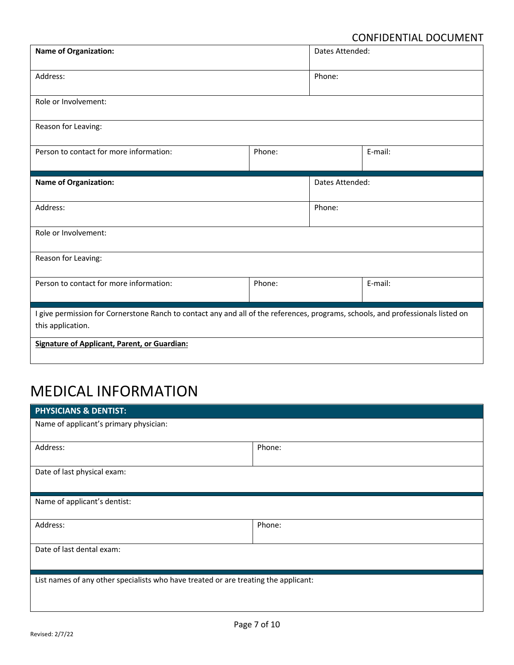| <b>Name of Organization:</b>                                                                                                                          |        | Dates Attended: |         |  |
|-------------------------------------------------------------------------------------------------------------------------------------------------------|--------|-----------------|---------|--|
| Address:                                                                                                                                              | Phone: |                 |         |  |
| Role or Involvement:                                                                                                                                  |        |                 |         |  |
| Reason for Leaving:                                                                                                                                   |        |                 |         |  |
| Person to contact for more information:                                                                                                               | Phone: |                 | E-mail: |  |
| <b>Name of Organization:</b>                                                                                                                          |        | Dates Attended: |         |  |
| Address:                                                                                                                                              |        | Phone:          |         |  |
| Role or Involvement:                                                                                                                                  |        |                 |         |  |
| Reason for Leaving:                                                                                                                                   |        |                 |         |  |
| Person to contact for more information:<br>Phone:                                                                                                     |        |                 | E-mail: |  |
| I give permission for Cornerstone Ranch to contact any and all of the references, programs, schools, and professionals listed on<br>this application. |        |                 |         |  |
| <b>Signature of Applicant, Parent, or Guardian:</b>                                                                                                   |        |                 |         |  |

# MEDICAL INFORMATION

| <b>PHYSICIANS &amp; DENTIST:</b>                                                    |        |  |  |  |
|-------------------------------------------------------------------------------------|--------|--|--|--|
| Name of applicant's primary physician:                                              |        |  |  |  |
|                                                                                     |        |  |  |  |
| Address:                                                                            | Phone: |  |  |  |
| Date of last physical exam:                                                         |        |  |  |  |
|                                                                                     |        |  |  |  |
|                                                                                     |        |  |  |  |
| Name of applicant's dentist:                                                        |        |  |  |  |
|                                                                                     | Phone: |  |  |  |
| Address:                                                                            |        |  |  |  |
| Date of last dental exam:                                                           |        |  |  |  |
|                                                                                     |        |  |  |  |
|                                                                                     |        |  |  |  |
| List names of any other specialists who have treated or are treating the applicant: |        |  |  |  |
|                                                                                     |        |  |  |  |
|                                                                                     |        |  |  |  |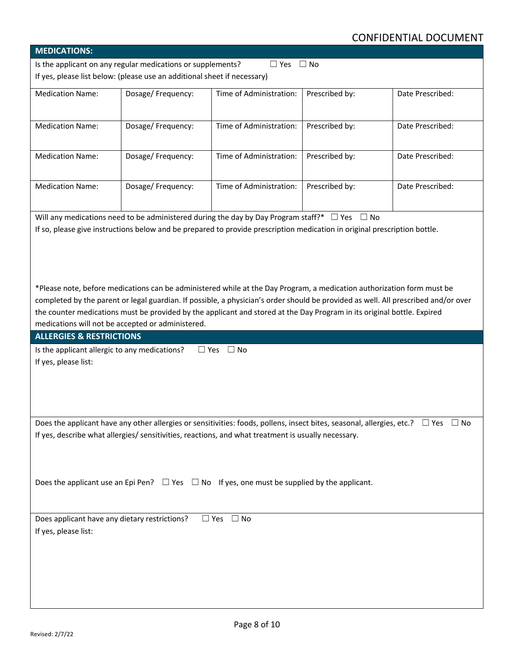| <b>MEDICATIONS:</b>                                                                                                                                                                                                                                                                                                                                                                                                                                                                                                                                                                                                                   |                                                                          |                         |                |                  |  |
|---------------------------------------------------------------------------------------------------------------------------------------------------------------------------------------------------------------------------------------------------------------------------------------------------------------------------------------------------------------------------------------------------------------------------------------------------------------------------------------------------------------------------------------------------------------------------------------------------------------------------------------|--------------------------------------------------------------------------|-------------------------|----------------|------------------|--|
|                                                                                                                                                                                                                                                                                                                                                                                                                                                                                                                                                                                                                                       | Is the applicant on any regular medications or supplements?              | $\Box$ Yes $\Box$ No    |                |                  |  |
|                                                                                                                                                                                                                                                                                                                                                                                                                                                                                                                                                                                                                                       | If yes, please list below: (please use an additional sheet if necessary) |                         |                |                  |  |
| <b>Medication Name:</b>                                                                                                                                                                                                                                                                                                                                                                                                                                                                                                                                                                                                               | Dosage/ Frequency:                                                       | Time of Administration: | Prescribed by: | Date Prescribed: |  |
| <b>Medication Name:</b>                                                                                                                                                                                                                                                                                                                                                                                                                                                                                                                                                                                                               | Dosage/ Frequency:                                                       | Time of Administration: | Prescribed by: | Date Prescribed: |  |
| <b>Medication Name:</b>                                                                                                                                                                                                                                                                                                                                                                                                                                                                                                                                                                                                               | Dosage/Frequency:                                                        | Time of Administration: | Prescribed by: | Date Prescribed: |  |
| <b>Medication Name:</b>                                                                                                                                                                                                                                                                                                                                                                                                                                                                                                                                                                                                               | Dosage/ Frequency:                                                       | Time of Administration: | Prescribed by: | Date Prescribed: |  |
| Will any medications need to be administered during the day by Day Program staff?* $\square$ Yes $\square$ No<br>If so, please give instructions below and be prepared to provide prescription medication in original prescription bottle.<br>*Please note, before medications can be administered while at the Day Program, a medication authorization form must be<br>completed by the parent or legal guardian. If possible, a physician's order should be provided as well. All prescribed and/or over<br>the counter medications must be provided by the applicant and stored at the Day Program in its original bottle. Expired |                                                                          |                         |                |                  |  |
| <b>ALLERGIES &amp; RESTRICTIONS</b>                                                                                                                                                                                                                                                                                                                                                                                                                                                                                                                                                                                                   | medications will not be accepted or administered.                        |                         |                |                  |  |
| Is the applicant allergic to any medications?<br>$\Box$ Yes<br>$\Box$ No                                                                                                                                                                                                                                                                                                                                                                                                                                                                                                                                                              |                                                                          |                         |                |                  |  |
| If yes, please list:                                                                                                                                                                                                                                                                                                                                                                                                                                                                                                                                                                                                                  |                                                                          |                         |                |                  |  |
| Does the applicant have any other allergies or sensitivities: foods, pollens, insect bites, seasonal, allergies, etc.? $\Box$ Yes $\Box$ No<br>If yes, describe what allergies/ sensitivities, reactions, and what treatment is usually necessary.                                                                                                                                                                                                                                                                                                                                                                                    |                                                                          |                         |                |                  |  |
| Does the applicant use an Epi Pen? $\Box$ Yes $\Box$ No If yes, one must be supplied by the applicant.                                                                                                                                                                                                                                                                                                                                                                                                                                                                                                                                |                                                                          |                         |                |                  |  |
| $\square$ No<br>Does applicant have any dietary restrictions?<br>$\Box$ Yes<br>If yes, please list:                                                                                                                                                                                                                                                                                                                                                                                                                                                                                                                                   |                                                                          |                         |                |                  |  |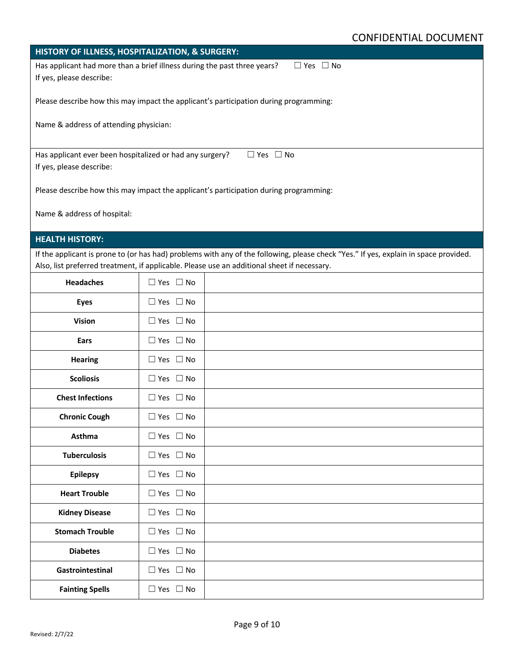| HISTORY OF ILLNESS, HOSPITALIZATION, & SURGERY:                                                                                      |                      |  |  |  |
|--------------------------------------------------------------------------------------------------------------------------------------|----------------------|--|--|--|
| Has applicant had more than a brief illness during the past three years?<br>$\Box$ Yes $\Box$ No                                     |                      |  |  |  |
| If yes, please describe:                                                                                                             |                      |  |  |  |
| Please describe how this may impact the applicant's participation during programming:                                                |                      |  |  |  |
| Name & address of attending physician:                                                                                               |                      |  |  |  |
|                                                                                                                                      |                      |  |  |  |
| $\Box$ Yes $\Box$ No<br>Has applicant ever been hospitalized or had any surgery?                                                     |                      |  |  |  |
| If yes, please describe:                                                                                                             |                      |  |  |  |
| Please describe how this may impact the applicant's participation during programming:                                                |                      |  |  |  |
| Name & address of hospital:                                                                                                          |                      |  |  |  |
|                                                                                                                                      |                      |  |  |  |
| <b>HEALTH HISTORY:</b>                                                                                                               |                      |  |  |  |
| If the applicant is prone to (or has had) problems with any of the following, please check "Yes." If yes, explain in space provided. |                      |  |  |  |
| Also, list preferred treatment, if applicable. Please use an additional sheet if necessary.                                          |                      |  |  |  |
| <b>Headaches</b>                                                                                                                     | $\Box$ Yes $\Box$ No |  |  |  |
| <b>Eyes</b>                                                                                                                          | $\Box$ Yes $\Box$ No |  |  |  |
| <b>Vision</b>                                                                                                                        | $\Box$ Yes $\Box$ No |  |  |  |
| Ears                                                                                                                                 | $\Box$ Yes $\Box$ No |  |  |  |
| <b>Hearing</b>                                                                                                                       | $\Box$ Yes $\Box$ No |  |  |  |
| <b>Scoliosis</b>                                                                                                                     | $\Box$ Yes $\Box$ No |  |  |  |
| <b>Chest Infections</b>                                                                                                              | $\Box$ Yes $\Box$ No |  |  |  |
| <b>Chronic Cough</b>                                                                                                                 | $\Box$ Yes $\Box$ No |  |  |  |
| Asthma                                                                                                                               | $\Box$ Yes $\Box$ No |  |  |  |
| <b>Tuberculosis</b>                                                                                                                  | $\Box$ Yes $\Box$ No |  |  |  |
| <b>Epilepsy</b>                                                                                                                      | $\Box$ Yes $\Box$ No |  |  |  |
| <b>Heart Trouble</b>                                                                                                                 | $\Box$ Yes $\Box$ No |  |  |  |
| <b>Kidney Disease</b>                                                                                                                | $\Box$ Yes $\Box$ No |  |  |  |
| <b>Stomach Trouble</b>                                                                                                               | $\Box$ Yes $\Box$ No |  |  |  |
| <b>Diabetes</b>                                                                                                                      | $\Box$ Yes $\Box$ No |  |  |  |
| Gastrointestinal                                                                                                                     | $\Box$ Yes $\Box$ No |  |  |  |
| <b>Fainting Spells</b>                                                                                                               | $\Box$ Yes $\Box$ No |  |  |  |